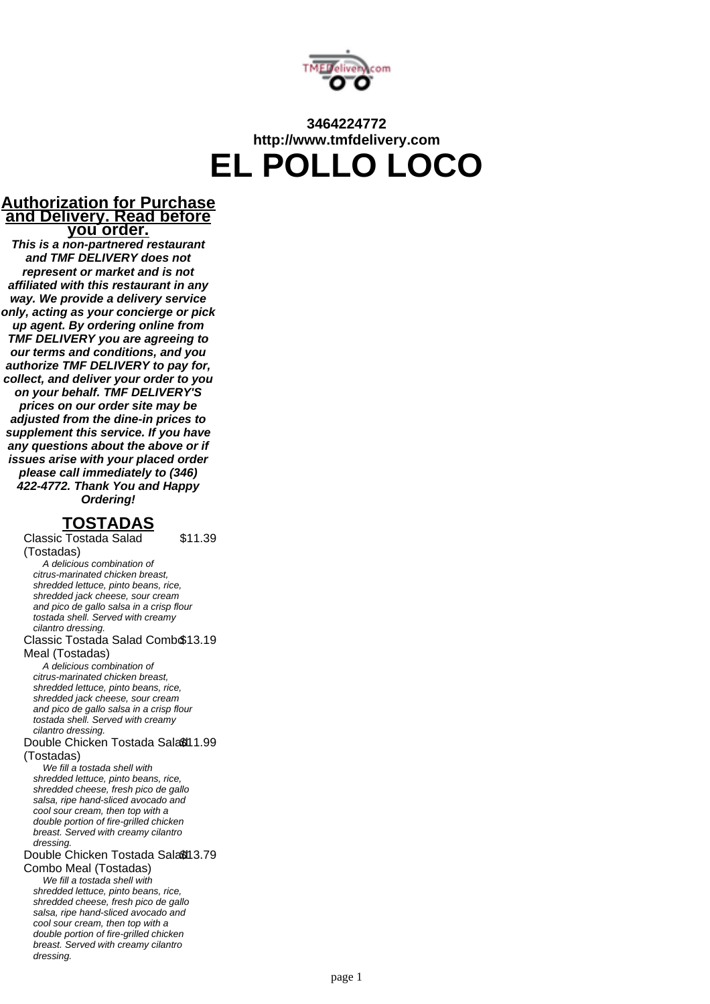

# **3464224772 http://www.tmfdelivery.com EL POLLO LOCO**

### **Authorization for Purchase and Delivery. Read before you order.**

**This is a non-partnered restaurant and TMF DELIVERY does not represent or market and is not affiliated with this restaurant in any way. We provide a delivery service only, acting as your concierge or pick up agent. By ordering online from TMF DELIVERY you are agreeing to our terms and conditions, and you authorize TMF DELIVERY to pay for, collect, and deliver your order to you on your behalf. TMF DELIVERY'S prices on our order site may be adjusted from the dine-in prices to supplement this service. If you have any questions about the above or if issues arise with your placed order please call immediately to (346) 422-4772. Thank You and Happy Ordering!**

### **TOSTADAS**

\$11.39

Classic Tostada Salad (Tostadas) A delicious combination of citrus-marinated chicken breast, shredded lettuce, pinto beans, rice, shredded jack cheese, sour cream and pico de gallo salsa in a crisp flour tostada shell. Served with creamy cilantro dressing. Classic Tostada Salad Comb \$13.19 Meal (Tostadas) A delicious combination of citrus-marinated chicken breast, shredded lettuce, pinto beans, rice, shredded jack cheese, sour cream and pico de gallo salsa in a crisp flour tostada shell. Served with creamy cilantro dressing. Double Chicken Tostada Sala® 11.99 (Tostadas) We fill a tostada shell with shredded lettuce, pinto beans, rice, shredded cheese, fresh pico de gallo salsa, ripe hand-sliced avocado and cool sour cream, then top with a double portion of fire-grilled chicken breast. Served with creamy cilantro dressing. Double Chicken Tostada Sala® 13.79 Combo Meal (Tostadas) We fill a tostada shell with shredded lettuce, pinto beans, rice, shredded cheese, fresh pico de gallo salsa, ripe hand-sliced avocado and cool sour cream, then top with a double portion of fire-grilled chicken breast. Served with creamy cilantro dressing.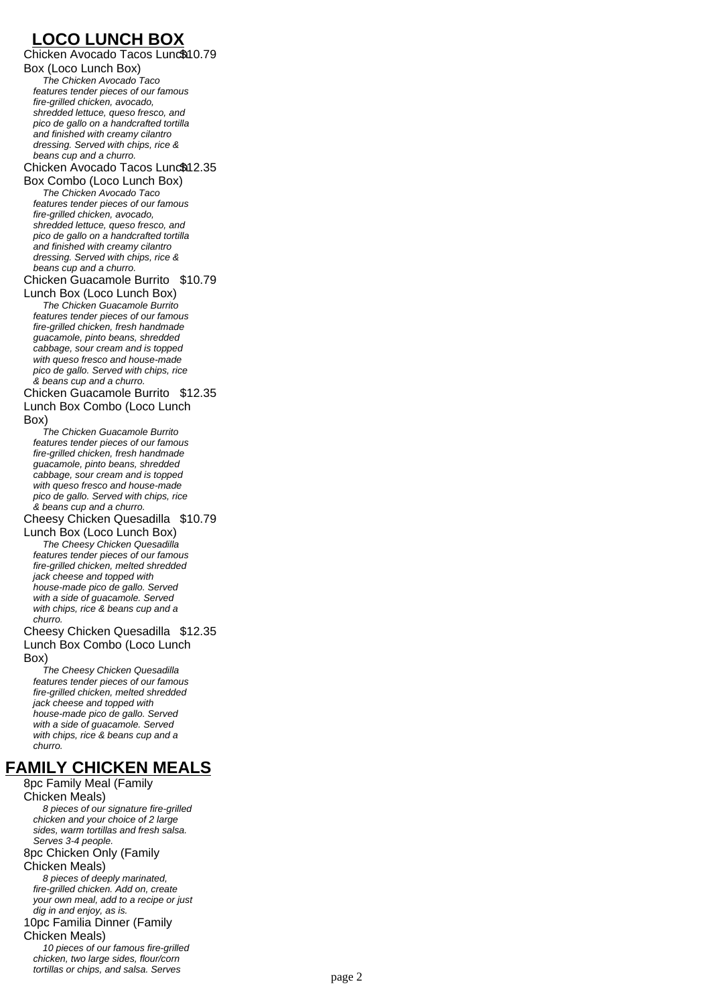# **LOCO LUNCH BOX**

Chicken Avocado Tacos Lunch \$10.79 Box (Loco Lunch Box) The Chicken Avocado Taco features tender pieces of our famous fire-grilled chicken, avocado, shredded lettuce, queso fresco, and pico de gallo on a handcrafted tortilla and finished with creamy cilantro dressing. Served with chips, rice & beans cup and a churro. Chicken Avocado Tacos Lunc\$12.35 Box Combo (Loco Lunch Box) The Chicken Avocado Taco features tender pieces of our famous fire-grilled chicken, avocado, shredded lettuce, queso fresco, and pico de gallo on a handcrafted tortilla and finished with creamy cilantro dressing. Served with chips, rice & beans cup and a churro. Chicken Guacamole Burrito \$10.79 Lunch Box (Loco Lunch Box) The Chicken Guacamole Burrito features tender pieces of our famous fire-grilled chicken, fresh handmade guacamole, pinto beans, shredded cabbage, sour cream and is topped with queso fresco and house-made pico de gallo. Served with chips, rice & beans cup and a churro. Chicken Guacamole Burrito \$12.35 Lunch Box Combo (Loco Lunch Box) The Chicken Guacamole Burrito features tender pieces of our famous fire-grilled chicken, fresh handmade guacamole, pinto beans, shredded cabbage, sour cream and is topped with queso fresco and house-made pico de gallo. Served with chips, rice & beans cup and a churro. Cheesy Chicken Quesadilla \$10.79 Lunch Box (Loco Lunch Box) The Cheesy Chicken Quesadilla features tender pieces of our famous fire-grilled chicken, melted shredded jack cheese and topped with house-made pico de gallo. Served with a side of guacamole. Served with chips, rice & beans cup and a churro. Cheesy Chicken Quesadilla \$12.35 Lunch Box Combo (Loco Lunch Box) The Cheesy Chicken Quesadilla features tender pieces of our famous fire-grilled chicken, melted shredded jack cheese and topped with house-made pico de gallo. Served with a side of guacamole. Served with chips, rice & beans cup and a churro. 8pc Family Meal (Family

# **FAMILY CHICKEN MEALS**

Chicken Meals) 8 pieces of our signature fire-grilled chicken and your choice of 2 large sides, warm tortillas and fresh salsa. Serves 3-4 people. 8pc Chicken Only (Family Chicken Meals) 8 pieces of deeply marinated, fire-grilled chicken. Add on, create your own meal, add to a recipe or just dig in and enjoy, as is. 10pc Familia Dinner (Family Chicken Meals) 10 pieces of our famous fire-grilled chicken, two large sides, flour/corn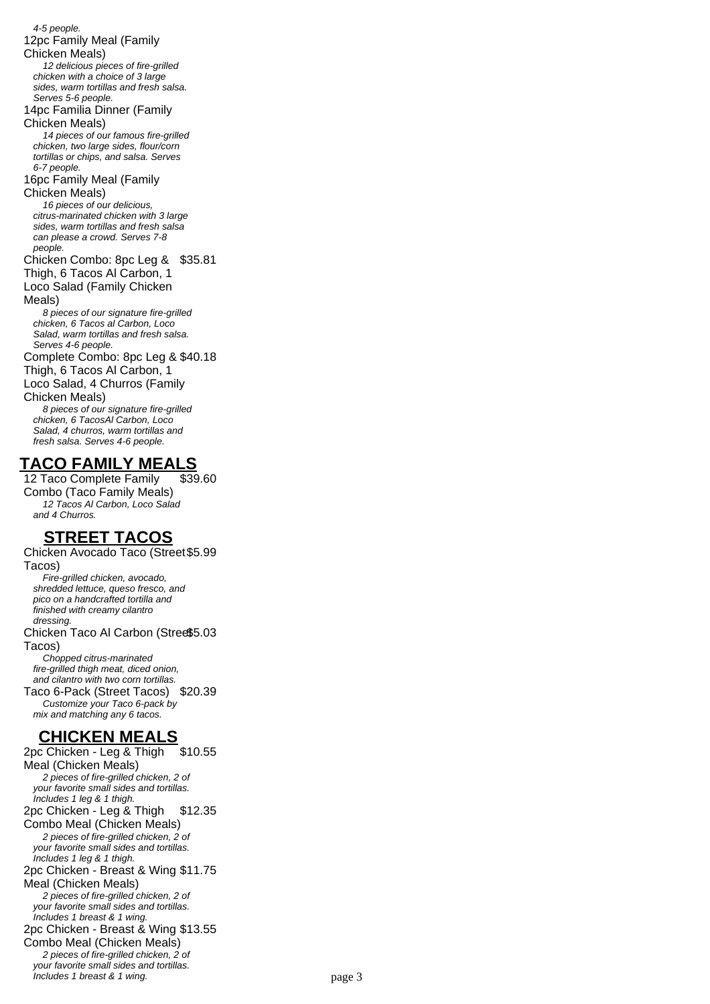4-5 people. 12pc Family Meal (Family Chicken Meals) 12 delicious pieces of fire-grilled chicken with a choice of 3 large sides, warm tortillas and fresh salsa. Serves 5-6 people. 14pc Familia Dinner (Family Chicken Meals) 14 pieces of our famous fire-grilled chicken, two large sides, flour/corn tortillas or chips, and salsa. Serves 6-7 people. 16pc Family Meal (Family Chicken Meals) 16 pieces of our delicious. citrus-marinated chicken with 3 large sides, warm tortillas and fresh salsa can please a crowd. Serves 7-8 people. Chicken Combo: 8pc Leg & \$35.81 Thigh, 6 Tacos Al Carbon, 1 Loco Salad (Family Chicken Meals) 8 pieces of our signature fire-grilled chicken, 6 Tacos al Carbon, Loco Salad, warm tortillas and fresh salsa. Serves 4-6 people. Complete Combo: 8pc Leg & \$40.18 Thigh, 6 Tacos Al Carbon, 1 Loco Salad, 4 Churros (Family Chicken Meals) 8 pieces of our signature fire-grilled chicken, 6 TacosAl Carbon, Loco Salad, 4 churros, warm tortillas and fresh salsa. Serves 4-6 people.

## **TACO FAMILY MEALS**

12 Taco Complete Family Combo (Taco Family Meals) \$39.60 12 Tacos Al Carbon, Loco Salad and 4 Churros.

# **STREET TACOS**

Chicken Avocado Taco (Street \$5.99 Tacos) Fire-grilled chicken, avocado, shredded lettuce, queso fresco, and pico on a handcrafted tortilla and finished with creamy cilantro dressing. Chicken Taco Al Carbon (Stree\$5.03 Tacos) Chopped citrus-marinated fire-grilled thigh meat, diced onion, and cilantro with two corn tortillas. Taco 6-Pack (Street Tacos) \$20.39 Customize your Taco 6-pack by mix and matching any 6 tacos.

## **CHICKEN MEALS**

2pc Chicken - Leg & Thigh Meal (Chicken Meals) \$10.55 2 pieces of fire-grilled chicken, 2 of your favorite small sides and tortillas. Includes 1 leg & 1 thigh. 2pc Chicken - Leg & Thigh Combo Meal (Chicken Meals) \$12.35 2 pieces of fire-grilled chicken, 2 of your favorite small sides and tortillas. Includes 1 leg & 1 thigh. 2pc Chicken - Breast & Wing \$11.75 Meal (Chicken Meals) 2 pieces of fire-grilled chicken, 2 of your favorite small sides and tortillas. Includes 1 breast & 1 wing. 2pc Chicken - Breast & Wing \$13.55 Combo Meal (Chicken Meals) 2 pieces of fire-grilled chicken, 2 of your favorite small sides and tortillas. Includes 1 breast & 1 wing. The page 3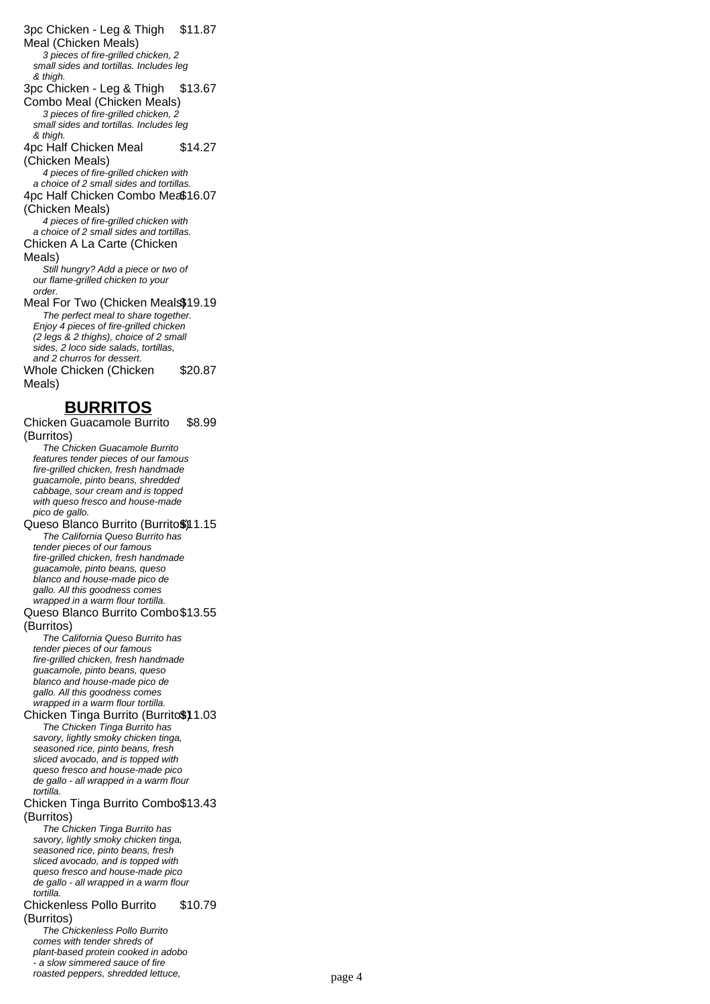3pc Chicken - Leg & Thigh Meal (Chicken Meals) \$11.87 3 pieces of fire-grilled chicken, 2 small sides and tortillas. Includes leg & thigh. 3pc Chicken - Leg & Thigh Combo Meal (Chicken Meals) \$13.67 3 pieces of fire-grilled chicken, 2 small sides and tortillas. Includes leg & thigh. 4pc Half Chicken Meal (Chicken Meals) \$14.27 4 pieces of fire-grilled chicken with a choice of 2 small sides and tortillas. 4pc Half Chicken Combo Mea\$16.07 (Chicken Meals) 4 pieces of fire-grilled chicken with a choice of 2 small sides and tortillas. Chicken A La Carte (Chicken Meals) Still hungry? Add a piece or two of our flame-grilled chicken to your order. Meal For Two (Chicken Meals\$19.19 The perfect meal to share together. Enjoy 4 pieces of fire-grilled chicken (2 legs & 2 thighs), choice of 2 small sides, 2 loco side salads, tortillas, and 2 churros for dessert. Whole Chicken (Chicken Meals) \$20.87 **BURRITOS** Chicken Guacamole Burrito (Burritos) \$8.99 The Chicken Guacamole Burrito features tender pieces of our famous fire-grilled chicken, fresh handmade guacamole, pinto beans, shredded cabbage, sour cream and is topped with queso fresco and house-made pico de gallo. Queso Blanco Burrito (Burrito\$)11.15 The California Queso Burrito has tender pieces of our famous fire-grilled chicken, fresh handmade guacamole, pinto beans, queso blanco and house-made pico de gallo. All this goodness comes wrapped in a warm flour tortilla. Queso Blanco Burrito Combo \$13.55 (Burritos) The California Queso Burrito has tender pieces of our famous fire-grilled chicken, fresh handmade guacamole, pinto beans, queso blanco and house-made pico de gallo. All this goodness comes wrapped in a warm flour tortilla. Chicken Tinga Burrito (Burrito\$) 1.03 The Chicken Tinga Burrito has savory, lightly smoky chicken tinga, seasoned rice, pinto beans, fresh sliced avocado, and is topped with queso fresco and house-made pico de gallo - all wrapped in a warm flour tortilla. Chicken Tinga Burrito Combo \$13.43 (Burritos) The Chicken Tinga Burrito has savory, lightly smoky chicken tinga, seasoned rice, pinto beans, fresh sliced avocado, and is topped with queso fresco and house-made pico de gallo - all wrapped in a warm flour tortilla. Chickenless Pollo Burrito (Burritos) \$10.79 The Chickenless Pollo Burrito comes with tender shreds of plant-based protein cooked in adobo

.<br>- a slow simmered sauce of fire

roasted peppers, shredded lettuce, page 4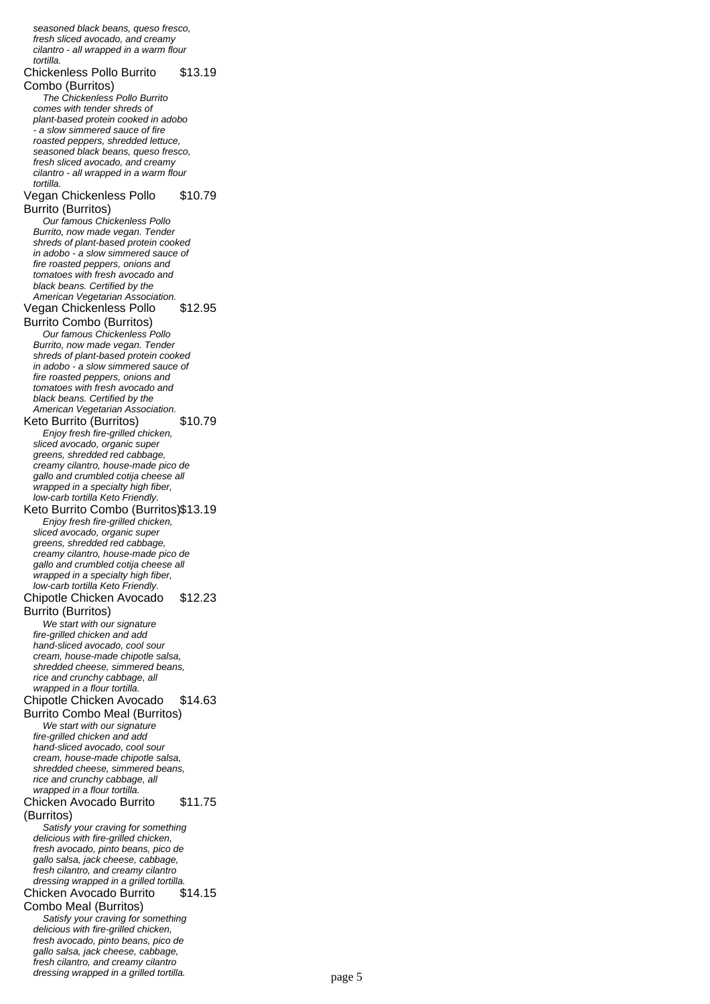fresh sliced avocado, and creamy cilantro - all wrapped in a warm flour tortilla. Chickenless Pollo Burrito Combo (Burritos) \$13.19 The Chickenless Pollo Burrito comes with tender shreds of plant-based protein cooked in adobo .<br>- a slow simmered sauce of fire roasted peppers, shredded lettuce, seasoned black beans, queso fresco, fresh sliced avocado, and creamy cilantro - all wrapped in a warm flour tortilla. Vegan Chickenless Pollo Burrito (Burritos) \$10.79 Our famous Chickenless Pollo Burrito, now made vegan. Tender shreds of plant-based protein cooked in adobo - a slow simmered sauce of fire roasted peppers, onions and tomatoes with fresh avocado and black beans. Certified by the American Vegetarian Association. Vegan Chickenless Pollo Burrito Combo (Burritos) \$12.95 Our famous Chickenless Pollo Burrito, now made vegan. Tender shreds of plant-based protein cooked in adobo - a slow simmered sauce of fire roasted peppers, onions and tomatoes with fresh avocado and black beans. Certified by the American Vegetarian Association. Keto Burrito (Burritos) \$10.79 Enjoy fresh fire-grilled chicken, sliced avocado, organic super greens, shredded red cabbage, creamy cilantro, house-made pico de gallo and crumbled cotija cheese all wrapped in a specialty high fiber, low-carb tortilla Keto Friendly. Keto Burrito Combo (Burritos)\$13.19 Enjoy fresh fire-grilled chicken, sliced avocado, organic super greens, shredded red cabbage, creamy cilantro, house-made pico de gallo and crumbled cotija cheese all wrapped in a specialty high fiber, low-carb tortilla Keto Friendly. Chipotle Chicken Avocado Burrito (Burritos) \$12.23 We start with our signature fire-grilled chicken and add hand-sliced avocado, cool sour cream, house-made chipotle salsa, shredded cheese, simmered beans, rice and crunchy cabbage, all wrapped in a flour tortilla. Chipotle Chicken Avocado Burrito Combo Meal (Burritos) \$14.63 We start with our signature fire-grilled chicken and add hand-sliced avocado, cool sour cream, house-made chipotle salsa, shredded cheese, simmered beans, rice and crunchy cabbage, all wrapped in a flour tortilla. Chicken Avocado Burrito (Burritos) \$11.75 Satisfy your craving for something delicious with fire-grilled chicken, fresh avocado, pinto beans, pico de gallo salsa, jack cheese, cabbage, fresh cilantro, and creamy cilantro dressing wrapped in a grilled tortilla. Chicken Avocado Burrito Combo Meal (Burritos) \$14.15 Satisfy your craving for something delicious with fire-grilled chicken, fresh avocado, pinto beans, pico de gallo salsa, jack cheese, cabbage, fresh cilantro, and creamy cilantro

seasoned black beans, queso fresco,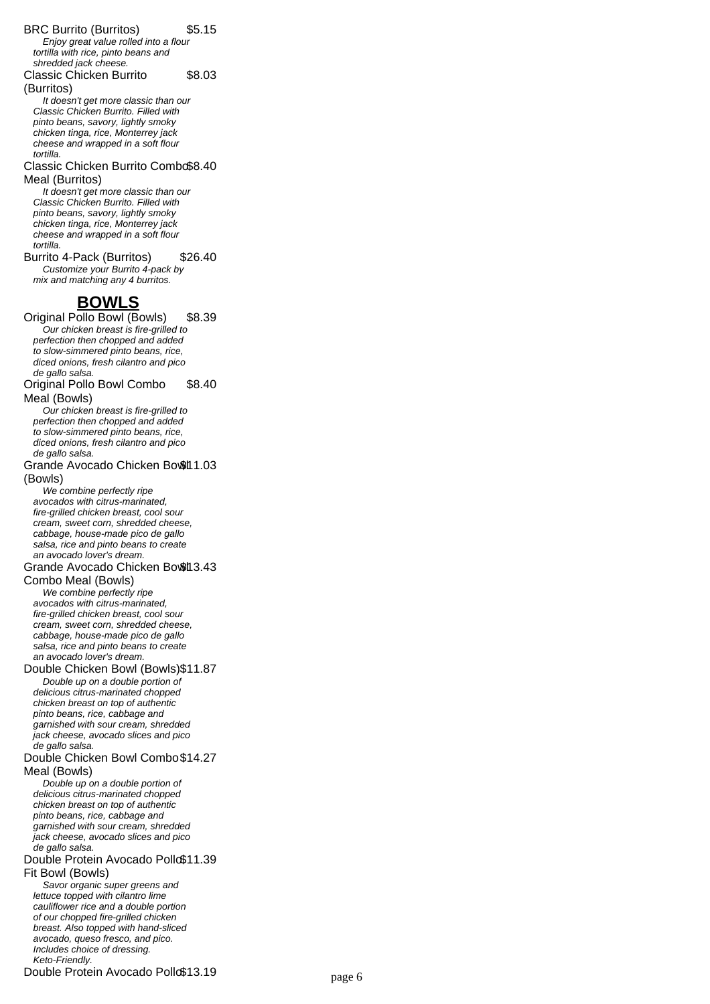#### BRC Burrito (Burritos) \$5.15

Enjoy great value rolled into a flour tortilla with rice, pinto beans and shredded jack cheese.

Classic Chicken Burrito \$8.03

(Burritos)

It doesn't get more classic than our Classic Chicken Burrito. Filled with pinto beans, savory, lightly smoky chicken tinga, rice, Monterrey jack cheese and wrapped in a soft flour tortilla.

#### Classic Chicken Burrito Combo \$8.40 Meal (Burritos)

It doesn't get more classic than our Classic Chicken Burrito. Filled with pinto beans, savory, lightly smoky chicken tinga, rice, Monterrey jack cheese and wrapped in a soft flour tortilla.

Burrito 4-Pack (Burritos) \$26.40 Customize your Burrito 4-pack by mix and matching any 4 burritos.

## **BOWLS**

Original Pollo Bowl (Bowls) \$8.39 Our chicken breast is fire-grilled to perfection then chopped and added to slow-simmered pinto beans, rice, diced onions, fresh cilantro and pico de gallo salsa.

#### Original Pollo Bowl Combo Meal (Bowls) \$8.40

Our chicken breast is fire-grilled to perfection then chopped and added to slow-simmered pinto beans, rice, diced onions, fresh cilantro and pico de gallo salsa.

#### Grande Avocado Chicken Bowth 1.03 (Bowls)

We combine perfectly ripe avocados with citrus-marinated, fire-grilled chicken breast, cool sour cream, sweet corn, shredded cheese, cabbage, house-made pico de gallo salsa, rice and pinto beans to create an avocado lover's dream.

### Grande Avocado Chicken Bowt 3.43

Combo Meal (Bowls) We combine perfectly ripe avocados with citrus-marinated, fire-grilled chicken breast, cool sour cream, sweet corn, shredded cheese, cabbage, house-made pico de gallo salsa, rice and pinto beans to create an avocado lover's dream.

### Double Chicken Bowl (Bowls)\$11.87

Double up on a double portion of delicious citrus-marinated chopped chicken breast on top of authentic pinto beans, rice, cabbage and garnished with sour cream, shredded jack cheese, avocado slices and pico de gallo salsa.

#### Double Chicken Bowl Combo \$14.27 Meal (Bowls)

Double up on a double portion of delicious citrus-marinated chopped chicken breast on top of authentic pinto beans, rice, cabbage and garnished with sour cream, shredded jack cheese, avocado slices and pico de gallo salsa.

#### Double Protein Avocado Pollo\$11.39 Fit Bowl (Bowls)

Savor organic super greens and lettuce topped with cilantro lime cauliflower rice and a double portion of our chopped fire-grilled chicken breast. Also topped with hand-sliced avocado, queso fresco, and pico. Includes choice of dressing. Keto-Friendly. Double Protein Avocado Poll \$13.19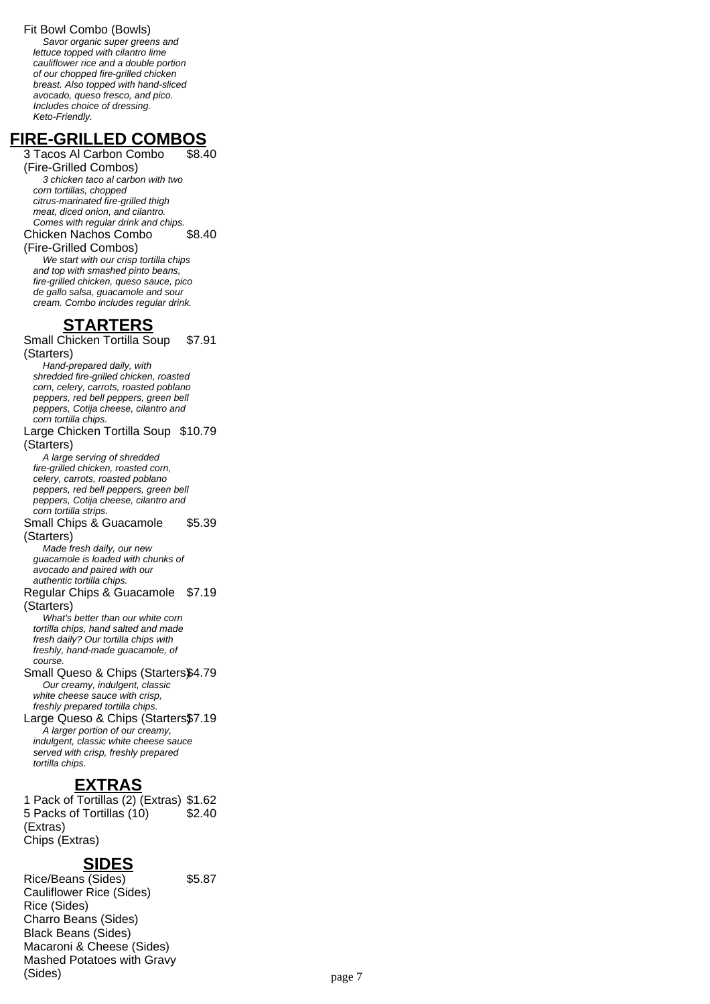Fit Bowl Combo (Bowls)

Savor organic super greens and lettuce topped with cilantro lime cauliflower rice and a double portion of our chopped fire-grilled chicken breast. Also topped with hand-sliced avocado, queso fresco, and pico. Includes choice of dressing. Keto-Friendly.

# **FIRE-GRILLED COMBOS**

3 Tacos Al Carbon Combo (Fire-Grilled Combos) \$8.40 3 chicken taco al carbon with two corn tortillas, chopped citrus-marinated fire-grilled thigh meat, diced onion, and cilantro. Comes with regular drink and chips. Chicken Nachos Combo (Fire-Grilled Combos) \$8.40 We start with our crisp tortilla chips

and top with smashed pinto beans, fire-grilled chicken, queso sauce, pico de gallo salsa, guacamole and sour cream. Combo includes regular drink.

# **STARTERS**

Small Chicken Tortilla Soup (Starters) \$7.91 Hand-prepared daily, with shredded fire-grilled chicken, roasted corn, celery, carrots, roasted poblano peppers, red bell peppers, green bell peppers, Cotija cheese, cilantro and corn tortilla chips. Large Chicken Tortilla Soup \$10.79 (Starters) A large serving of shredded fire-grilled chicken, roasted corn, celery, carrots, roasted poblano peppers, red bell peppers, green bell peppers, Cotija cheese, cilantro and corn tortilla strips. Small Chips & Guacamole (Starters) \$5.39 Made fresh daily, our new guacamole is loaded with chunks of avocado and paired with our authentic tortilla chips. Regular Chips & Guacamole \$7.19 (Starters) What's better than our white corn tortilla chips, hand salted and made fresh daily? Our tortilla chips with freshly, hand-made guacamole, of course. Small Queso & Chips (Starters\$4.79) Our creamy, indulgent, classic white cheese sauce with crisp, freshly prepared tortilla chips. Large Queso & Chips (Starters\$7.19 A larger portion of our creamy, indulgent, classic white cheese sauce served with crisp, freshly prepared tortilla chips. **EXTRAS**

1 Pack of Tortillas (2) (Extras) \$1.62 5 Packs of Tortillas (10) (Extras) \$2.40 Chips (Extras)

## **SIDES**

Rice/Beans (Sides) \$5.87 Cauliflower Rice (Sides) Rice (Sides) Charro Beans (Sides) Black Beans (Sides) Macaroni & Cheese (Sides) Mashed Potatoes with Gravy (Sides) page 7